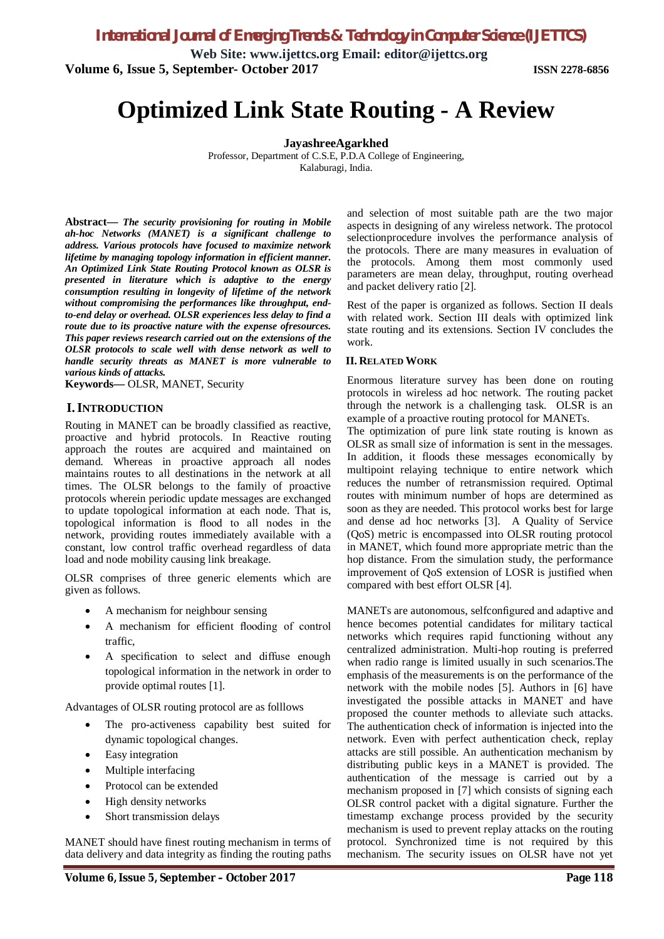*International Journal of Emerging Trends & Technology in Computer Science (IJETTCS)*

**Web Site: www.ijettcs.org Email: editor@ijettcs.org Volume 6, Issue 5, September- October 2017 ISSN 2278-6856**

# **Optimized Link State Routing - A Review**

**JayashreeAgarkhed**

Professor, Department of C.S.E, P.D.A College of Engineering, Kalaburagi, India.

**Abstract—** *The security provisioning for routing in Mobile ah-hoc Networks (MANET) is a significant challenge to address. Various protocols have focused to maximize network lifetime by managing topology information in efficient manner. An Optimized Link State Routing Protocol known as OLSR is presented in literature which is adaptive to the energy consumption resulting in longevity of lifetime of the network without compromising the performances like throughput, endto-end delay or overhead. OLSR experiences less delay to find a route due to its proactive nature with the expense ofresources. This paper reviews research carried out on the extensions of the OLSR protocols to scale well with dense network as well to handle security threats as MANET is more vulnerable to various kinds of attacks.*

**Keywords—** OLSR, MANET, Security

### **I.INTRODUCTION**

Routing in MANET can be broadly classified as reactive, proactive and hybrid protocols. In Reactive routing approach the routes are acquired and maintained on demand. Whereas in proactive approach all nodes maintains routes to all destinations in the network at all times. The OLSR belongs to the family of proactive protocols wherein periodic update messages are exchanged to update topological information at each node. That is, topological information is flood to all nodes in the network, providing routes immediately available with a constant, low control traffic overhead regardless of data load and node mobility causing link breakage.

OLSR comprises of three generic elements which are given as follows.

- A mechanism for neighbour sensing
- A mechanism for efficient flooding of control traffic,
- A specification to select and diffuse enough topological information in the network in order to provide optimal routes [1].

Advantages of OLSR routing protocol are as folllows

- The pro-activeness capability best suited for dynamic topological changes.
- Easy integration
- Multiple interfacing
- Protocol can be extended
- High density networks
- Short transmission delays

MANET should have finest routing mechanism in terms of data delivery and data integrity as finding the routing paths and selection of most suitable path are the two major aspects in designing of any wireless network. The protocol selectionprocedure involves the performance analysis of the protocols. There are many measures in evaluation of the protocols. Among them most commonly used parameters are mean delay, throughput, routing overhead and packet delivery ratio [2].

Rest of the paper is organized as follows. Section II deals with related work. Section III deals with optimized link state routing and its extensions. Section IV concludes the work.

#### **II. RELATED WORK**

Enormous literature survey has been done on routing protocols in wireless ad hoc network. The routing packet through the network is a challenging task. OLSR is an example of a proactive routing protocol for MANETs.

The optimization of pure link state routing is known as OLSR as small size of information is sent in the messages. In addition, it floods these messages economically by multipoint relaying technique to entire network which reduces the number of retransmission required. Optimal routes with minimum number of hops are determined as soon as they are needed. This protocol works best for large and dense ad hoc networks [3]. A Quality of Service (QoS) metric is encompassed into OLSR routing protocol in MANET, which found more appropriate metric than the hop distance. From the simulation study, the performance improvement of QoS extension of LOSR is justified when compared with best effort OLSR [4].

MANETs are autonomous, selfconfigured and adaptive and hence becomes potential candidates for military tactical networks which requires rapid functioning without any centralized administration. Multi-hop routing is preferred when radio range is limited usually in such scenarios.The emphasis of the measurements is on the performance of the network with the mobile nodes [5]. Authors in [6] have investigated the possible attacks in MANET and have proposed the counter methods to alleviate such attacks. The authentication check of information is injected into the network. Even with perfect authentication check, replay attacks are still possible. An authentication mechanism by distributing public keys in a MANET is provided. The authentication of the message is carried out by a mechanism proposed in [7] which consists of signing each OLSR control packet with a digital signature. Further the timestamp exchange process provided by the security mechanism is used to prevent replay attacks on the routing protocol. Synchronized time is not required by this mechanism. The security issues on OLSR have not yet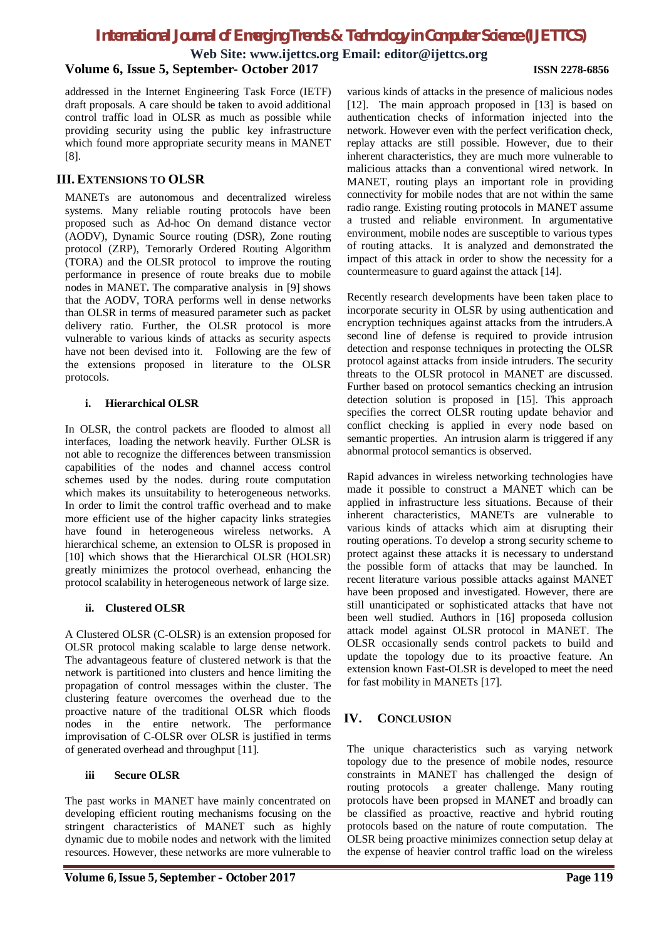# *International Journal of Emerging Trends & Technology in Computer Science (IJETTCS)*

**Web Site: www.ijettcs.org Email: editor@ijettcs.org**

## **Volume 6, Issue 5, September- October 2017 ISSN 2278-6856**

addressed in the Internet Engineering Task Force (IETF) draft proposals. A care should be taken to avoid additional control traffic load in OLSR as much as possible while providing security using the public key infrastructure which found more appropriate security means in MANET [8].

### **III. EXTENSIONS TO OLSR**

MANETs are autonomous and decentralized wireless systems. Many reliable routing protocols have been proposed such as Ad-hoc On demand distance vector (AODV), Dynamic Source routing (DSR), Zone routing protocol (ZRP), Temorarly Ordered Routing Algorithm (TORA) and the OLSR protocol to improve the routing performance in presence of route breaks due to mobile nodes in MANET**.** The comparative analysis in [9] shows that the AODV, TORA performs well in dense networks than OLSR in terms of measured parameter such as packet delivery ratio. Further, the OLSR protocol is more vulnerable to various kinds of attacks as security aspects have not been devised into it. Following are the few of the extensions proposed in literature to the OLSR protocols.

#### **i. Hierarchical OLSR**

In OLSR, the control packets are flooded to almost all interfaces, loading the network heavily. Further OLSR is not able to recognize the differences between transmission capabilities of the nodes and channel access control schemes used by the nodes. during route computation which makes its unsuitability to heterogeneous networks. In order to limit the control traffic overhead and to make more efficient use of the higher capacity links strategies have found in heterogeneous wireless networks. A hierarchical scheme, an extension to OLSR is proposed in [10] which shows that the Hierarchical OLSR (HOLSR) greatly minimizes the protocol overhead, enhancing the protocol scalability in heterogeneous network of large size.

#### **ii. Clustered OLSR**

A Clustered OLSR (C-OLSR) is an extension proposed for OLSR protocol making scalable to large dense network. The advantageous feature of clustered network is that the network is partitioned into clusters and hence limiting the propagation of control messages within the cluster. The clustering feature overcomes the overhead due to the proactive nature of the traditional OLSR which floods nodes in the entire network. The performance improvisation of C-OLSR over OLSR is justified in terms of generated overhead and throughput [11].

#### **iii Secure OLSR**

The past works in MANET have mainly concentrated on developing efficient routing mechanisms focusing on the stringent characteristics of MANET such as highly dynamic due to mobile nodes and network with the limited resources. However, these networks are more vulnerable to

various kinds of attacks in the presence of malicious nodes [12]. The main approach proposed in [13] is based on authentication checks of information injected into the network. However even with the perfect verification check, replay attacks are still possible. However, due to their inherent characteristics, they are much more vulnerable to malicious attacks than a conventional wired network. In MANET, routing plays an important role in providing connectivity for mobile nodes that are not within the same radio range. Existing routing protocols in MANET assume a trusted and reliable environment. In argumentative environment, mobile nodes are susceptible to various types of routing attacks. It is analyzed and demonstrated the impact of this attack in order to show the necessity for a countermeasure to guard against the attack [14].

Recently research developments have been taken place to incorporate security in OLSR by using authentication and encryption techniques against attacks from the intruders.A second line of defense is required to provide intrusion detection and response techniques in protecting the OLSR protocol against attacks from inside intruders. The security threats to the OLSR protocol in MANET are discussed. Further based on protocol semantics checking an intrusion detection solution is proposed in [15]. This approach specifies the correct OLSR routing update behavior and conflict checking is applied in every node based on semantic properties. An intrusion alarm is triggered if any abnormal protocol semantics is observed.

Rapid advances in wireless networking technologies have made it possible to construct a MANET which can be applied in infrastructure less situations. Because of their inherent characteristics, MANETs are vulnerable to various kinds of attacks which aim at disrupting their routing operations. To develop a strong security scheme to protect against these attacks it is necessary to understand the possible form of attacks that may be launched. In recent literature various possible attacks against MANET have been proposed and investigated. However, there are still unanticipated or sophisticated attacks that have not been well studied. Authors in [16] proposeda collusion attack model against OLSR protocol in MANET. The OLSR occasionally sends control packets to build and update the topology due to its proactive feature. An extension known Fast-OLSR is developed to meet the need for fast mobility in MANETs [17].

# **IV. CONCLUSION**

The unique characteristics such as varying network topology due to the presence of mobile nodes, resource constraints in MANET has challenged the design of routing protocols a greater challenge. Many routing protocols have been propsed in MANET and broadly can be classified as proactive, reactive and hybrid routing protocols based on the nature of route computation. The OLSR being proactive minimizes connection setup delay at the expense of heavier control traffic load on the wireless